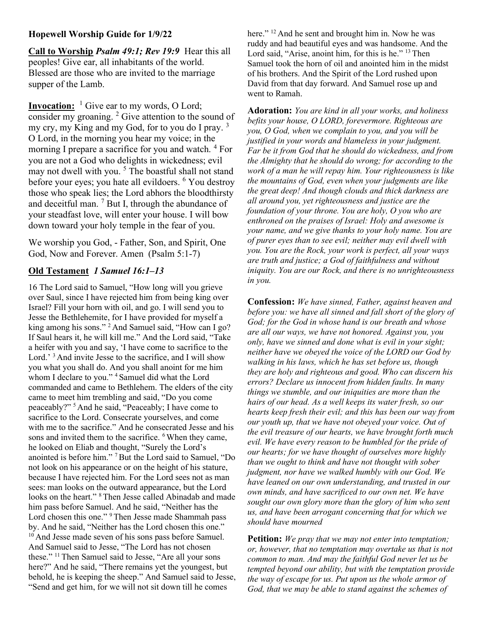## Hopewell Worship Guide for 1/9/22

Call to Worship Psalm 49:1; Rev 19:9 Hear this all peoples! Give ear, all inhabitants of the world. Blessed are those who are invited to the marriage supper of the Lamb.

**Invocation:** <sup>1</sup> Give ear to my words, O Lord; consider my groaning.<sup>2</sup> Give attention to the sound of my cry, my King and my God, for to you do I pray.<sup>3</sup> O Lord, in the morning you hear my voice; in the morning I prepare a sacrifice for you and watch. <sup>4</sup> For you are not a God who delights in wickedness; evil may not dwell with you.<sup>5</sup> The boastful shall not stand before your eyes; you hate all evildoers. <sup>6</sup> You destroy those who speak lies; the Lord abhors the bloodthirsty and deceitful man.  $7$  But I, through the abundance of your steadfast love, will enter your house. I will bow down toward your holy temple in the fear of you.

We worship you God, - Father, Son, and Spirit, One God, Now and Forever. Amen (Psalm 5:1-7)

## Old Testament 1 Samuel 16:1–13

16 The Lord said to Samuel, "How long will you grieve over Saul, since I have rejected him from being king over Israel? Fill your horn with oil, and go. I will send you to Jesse the Bethlehemite, for I have provided for myself a king among his sons." <sup>2</sup> And Samuel said, "How can I go? If Saul hears it, he will kill me." And the Lord said, "Take a heifer with you and say, 'I have come to sacrifice to the Lord.' <sup>3</sup> And invite Jesse to the sacrifice, and I will show you what you shall do. And you shall anoint for me him whom I declare to you." <sup>4</sup> Samuel did what the Lord commanded and came to Bethlehem. The elders of the city came to meet him trembling and said, "Do you come peaceably?" <sup>5</sup>And he said, "Peaceably; I have come to sacrifice to the Lord. Consecrate yourselves, and come with me to the sacrifice." And he consecrated Jesse and his sons and invited them to the sacrifice. <sup>6</sup> When they came, he looked on Eliab and thought, "Surely the Lord's anointed is before him." <sup>7</sup>But the Lord said to Samuel, "Do not look on his appearance or on the height of his stature, because I have rejected him. For the Lord sees not as man sees: man looks on the outward appearance, but the Lord looks on the heart." <sup>8</sup>Then Jesse called Abinadab and made him pass before Samuel. And he said, "Neither has the Lord chosen this one." <sup>9</sup> Then Jesse made Shammah pass by. And he said, "Neither has the Lord chosen this one." <sup>10</sup> And Jesse made seven of his sons pass before Samuel. And Samuel said to Jesse, "The Lord has not chosen these." <sup>11</sup> Then Samuel said to Jesse, "Are all your sons here?" And he said, "There remains yet the youngest, but behold, he is keeping the sheep." And Samuel said to Jesse, "Send and get him, for we will not sit down till he comes

here." <sup>12</sup> And he sent and brought him in. Now he was ruddy and had beautiful eyes and was handsome. And the Lord said, "Arise, anoint him, for this is he." <sup>13</sup> Then Samuel took the horn of oil and anointed him in the midst of his brothers. And the Spirit of the Lord rushed upon David from that day forward. And Samuel rose up and went to Ramah.

Adoration: You are kind in all your works, and holiness befits your house, O LORD, forevermore. Righteous are you, O God, when we complain to you, and you will be justified in your words and blameless in your judgment. Far be it from God that he should do wickedness, and from the Almighty that he should do wrong; for according to the work of a man he will repay him. Your righteousness is like the mountains of God, even when your judgments are like the great deep! And though clouds and thick darkness are all around you, yet righteousness and justice are the foundation of your throne. You are holy, O you who are enthroned on the praises of Israel: Holy and awesome is your name, and we give thanks to your holy name. You are of purer eyes than to see evil; neither may evil dwell with you. You are the Rock, your work is perfect, all your ways are truth and justice; a God of faithfulness and without iniquity. You are our Rock, and there is no unrighteousness in you.

Confession: We have sinned, Father, against heaven and before you: we have all sinned and fall short of the glory of God; for the God in whose hand is our breath and whose are all our ways, we have not honored. Against you, you only, have we sinned and done what is evil in your sight; neither have we obeyed the voice of the LORD our God by walking in his laws, which he has set before us, though they are holy and righteous and good. Who can discern his errors? Declare us innocent from hidden faults. In many things we stumble, and our iniquities are more than the hairs of our head. As a well keeps its water fresh, so our hearts keep fresh their evil; and this has been our way from our youth up, that we have not obeyed your voice. Out of the evil treasure of our hearts, we have brought forth much evil. We have every reason to be humbled for the pride of our hearts; for we have thought of ourselves more highly than we ought to think and have not thought with sober judgment, nor have we walked humbly with our God. We have leaned on our own understanding, and trusted in our own minds, and have sacrificed to our own net. We have sought our own glory more than the glory of him who sent us, and have been arrogant concerning that for which we should have mourned

**Petition:** We pray that we may not enter into temptation; or, however, that no temptation may overtake us that is not common to man. And may the faithful God never let us be tempted beyond our ability, but with the temptation provide the way of escape for us. Put upon us the whole armor of God, that we may be able to stand against the schemes of